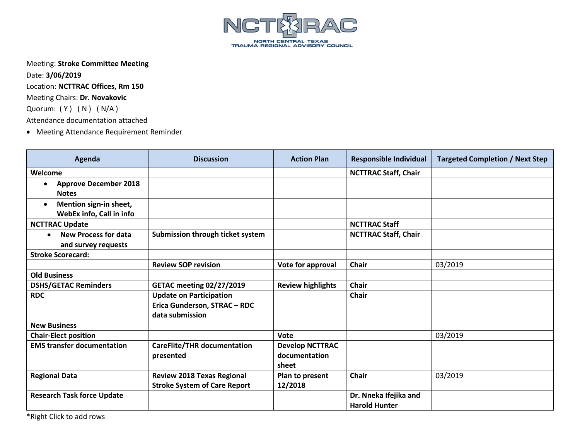

Meeting: **Stroke Committee Meeting**

Date: **3/06/2019** Location: **NCTTRAC Offices, Rm 150** Meeting Chairs: **Dr. Novakovic** Quorum: (Y) (N) (N/A) Attendance documentation attached

• Meeting Attendance Requirement Reminder

| Agenda                                                          | <b>Discussion</b>                                                                 | <b>Action Plan</b>                               | <b>Responsible Individual</b>                 | <b>Targeted Completion / Next Step</b> |
|-----------------------------------------------------------------|-----------------------------------------------------------------------------------|--------------------------------------------------|-----------------------------------------------|----------------------------------------|
| Welcome                                                         |                                                                                   |                                                  | <b>NCTTRAC Staff, Chair</b>                   |                                        |
| <b>Approve December 2018</b><br><b>Notes</b>                    |                                                                                   |                                                  |                                               |                                        |
| Mention sign-in sheet,<br>$\bullet$<br>WebEx info, Call in info |                                                                                   |                                                  |                                               |                                        |
| <b>NCTTRAC Update</b>                                           |                                                                                   |                                                  | <b>NCTTRAC Staff</b>                          |                                        |
| New Process for data<br>$\bullet$<br>and survey requests        | Submission through ticket system                                                  |                                                  | <b>NCTTRAC Staff, Chair</b>                   |                                        |
| <b>Stroke Scorecard:</b>                                        |                                                                                   |                                                  |                                               |                                        |
|                                                                 | <b>Review SOP revision</b>                                                        | Vote for approval                                | <b>Chair</b>                                  | 03/2019                                |
| <b>Old Business</b>                                             |                                                                                   |                                                  |                                               |                                        |
| <b>DSHS/GETAC Reminders</b>                                     | <b>GETAC meeting 02/27/2019</b>                                                   | <b>Review highlights</b>                         | <b>Chair</b>                                  |                                        |
| <b>RDC</b>                                                      | <b>Update on Participation</b><br>Erica Gunderson, STRAC - RDC<br>data submission |                                                  | <b>Chair</b>                                  |                                        |
| <b>New Business</b>                                             |                                                                                   |                                                  |                                               |                                        |
| <b>Chair-Elect position</b>                                     |                                                                                   | Vote                                             |                                               | 03/2019                                |
| <b>EMS transfer documentation</b>                               | <b>CareFlite/THR documentation</b><br>presented                                   | <b>Develop NCTTRAC</b><br>documentation<br>sheet |                                               |                                        |
| <b>Regional Data</b>                                            | <b>Review 2018 Texas Regional</b><br><b>Stroke System of Care Report</b>          | Plan to present<br>12/2018                       | <b>Chair</b>                                  | 03/2019                                |
| <b>Research Task force Update</b>                               |                                                                                   |                                                  | Dr. Nneka Ifejika and<br><b>Harold Hunter</b> |                                        |

\*Right Click to add rows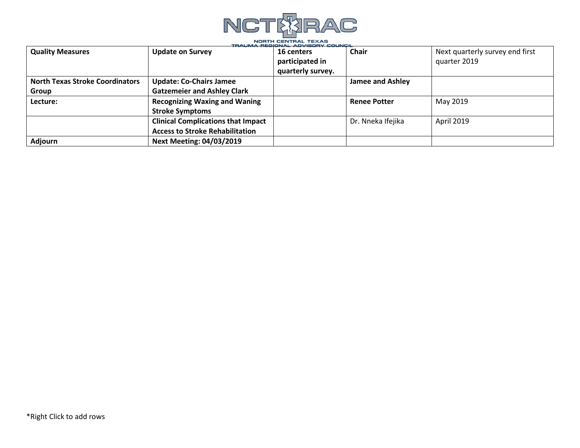

| <b>Quality Measures</b>                | <b>Update on Survey</b>                   | 16 centers        | <b>Chair</b>            | Next quarterly survey end first |
|----------------------------------------|-------------------------------------------|-------------------|-------------------------|---------------------------------|
|                                        |                                           | participated in   |                         | quarter 2019                    |
|                                        |                                           | quarterly survey. |                         |                                 |
| <b>North Texas Stroke Coordinators</b> | <b>Update: Co-Chairs Jamee</b>            |                   | <b>Jamee and Ashley</b> |                                 |
| Group                                  | <b>Gatzemeier and Ashley Clark</b>        |                   |                         |                                 |
| Lecture:                               | <b>Recognizing Waxing and Waning</b>      |                   | <b>Renee Potter</b>     | May 2019                        |
|                                        | <b>Stroke Symptoms</b>                    |                   |                         |                                 |
|                                        | <b>Clinical Complications that Impact</b> |                   | Dr. Nneka Ifejika       | April 2019                      |
|                                        | <b>Access to Stroke Rehabilitation</b>    |                   |                         |                                 |
| <b>Adjourn</b>                         | <b>Next Meeting: 04/03/2019</b>           |                   |                         |                                 |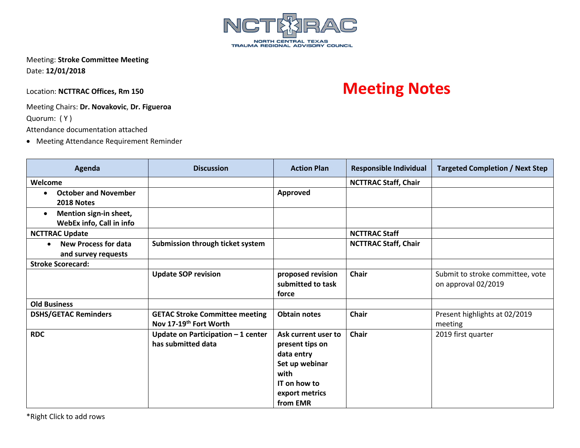

Meeting: **Stroke Committee Meeting** Date: **12/01/2018**

## Meeting Chairs: **Dr. Novakovic**, **Dr. Figueroa**

Quorum: ( Y )

Attendance documentation attached

• Meeting Attendance Requirement Reminder

| Agenda                                                          | <b>Discussion</b>                                                           | <b>Action Plan</b>                                                                                                           | <b>Responsible Individual</b> | <b>Targeted Completion / Next Step</b>                  |
|-----------------------------------------------------------------|-----------------------------------------------------------------------------|------------------------------------------------------------------------------------------------------------------------------|-------------------------------|---------------------------------------------------------|
| Welcome                                                         |                                                                             |                                                                                                                              | <b>NCTTRAC Staff, Chair</b>   |                                                         |
| <b>October and November</b><br>$\bullet$<br>2018 Notes          |                                                                             | Approved                                                                                                                     |                               |                                                         |
| Mention sign-in sheet,<br>$\bullet$<br>WebEx info, Call in info |                                                                             |                                                                                                                              |                               |                                                         |
| <b>NCTTRAC Update</b>                                           |                                                                             |                                                                                                                              | <b>NCTTRAC Staff</b>          |                                                         |
| <b>New Process for data</b><br>$\bullet$<br>and survey requests | Submission through ticket system                                            |                                                                                                                              | <b>NCTTRAC Staff, Chair</b>   |                                                         |
| <b>Stroke Scorecard:</b>                                        |                                                                             |                                                                                                                              |                               |                                                         |
|                                                                 | <b>Update SOP revision</b>                                                  | proposed revision<br>submitted to task<br>force                                                                              | Chair                         | Submit to stroke committee, vote<br>on approval 02/2019 |
| <b>Old Business</b>                                             |                                                                             |                                                                                                                              |                               |                                                         |
| <b>DSHS/GETAC Reminders</b>                                     | <b>GETAC Stroke Committee meeting</b><br>Nov 17-19 <sup>th</sup> Fort Worth | <b>Obtain notes</b>                                                                                                          | <b>Chair</b>                  | Present highlights at 02/2019<br>meeting                |
| <b>RDC</b>                                                      | Update on Participation $-1$ center<br>has submitted data                   | Ask current user to<br>present tips on<br>data entry<br>Set up webinar<br>with<br>IT on how to<br>export metrics<br>from EMR | Chair                         | 2019 first quarter                                      |

## Location: NCTTRAC Offices, Rm 150 **Meeting Notes**